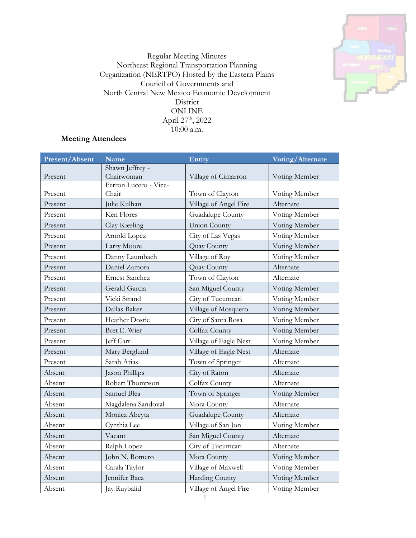

Regular Meeting Minutes Northeast Regional Transportation Planning Organization (NERTPO) Hosted by the Eastern Plains Council of Governments and North Central New Mexico Economic Development District ONLINE April 27<sup>th</sup>, 2022 10:00 a.m.

# **Meeting Attendees**

| <b>Present/Absent</b> | <b>Name</b>                    | Entity                | Voting/Alternate |
|-----------------------|--------------------------------|-----------------------|------------------|
|                       | Shawn Jeffrey -                |                       |                  |
| Present               | Chairwoman                     | Village of Cimarron   | Voting Member    |
|                       | Ferron Lucero - Vice-<br>Chair |                       |                  |
| Present               |                                | Town of Clayton       | Voting Member    |
| Present               | Julie Kulhan                   | Village of Angel Fire | Alternate        |
| Present               | Ken Flores                     | Guadalupe County      | Voting Member    |
| Present               | Clay Kiesling                  | <b>Union County</b>   | Voting Member    |
| Present               | Arnold Lopez                   | City of Las Vegas     | Voting Member    |
| Present               | Larry Moore                    | Quay County           | Voting Member    |
| Present               | Danny Laumbach                 | Village of Roy        | Voting Member    |
| Present               | Daniel Zamora                  | Quay County           | Alternate        |
| Present               | <b>Ernest Sanchez</b>          | Town of Clayton       | Alternate        |
| Present               | Gerald Garcia                  | San Miguel County     | Voting Member    |
| Present               | Vicki Strand                   | City of Tucumcari     | Voting Member    |
| Present               | Dallas Baker                   | Village of Mosquero   | Voting Member    |
| Present               | <b>Heather Dostie</b>          | City of Santa Rosa    | Voting Member    |
| Present               | Bret E. Wier                   | Colfax County         | Voting Member    |
| Present               | Jeff Carr                      | Village of Eagle Nest | Voting Member    |
| Present               | Mary Berglund                  | Village of Eagle Nest | Alternate        |
| Present               | Sarah Arias                    | Town of Springer      | Alternate        |
| Absent                | Jason Phillips                 | City of Raton         | Alternate        |
| Absent                | Robert Thompson                | Colfax County         | Alternate        |
| Absent                | Samuel Blea                    | Town of Springer      | Voting Member    |
| Absent                | Magdalena Sandoval             | Mora County           | Alternate        |
| Absent                | Monica Abeyta                  | Guadalupe County      | Alternate        |
| Absent                | Cynthia Lee                    | Village of San Jon    | Voting Member    |
| Absent                | Vacant                         | San Miguel County     | Alternate        |
| Absent                | Ralph Lopez                    | City of Tucumcari     | Alternate        |
| Absent                | John N. Romero                 | Mora County           | Voting Member    |
| Absent                | Carala Taylor                  | Village of Maxwell    | Voting Member    |
| Absent                | Jennifer Baca                  | <b>Harding County</b> | Voting Member    |
| Absent                | Jay Ruybalid                   | Village of Angel Fire | Voting Member    |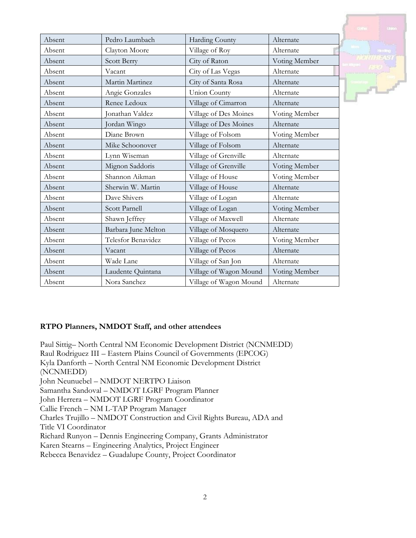| Absent | Pedro Laumbach      | Harding County         | Alternate     |
|--------|---------------------|------------------------|---------------|
| Absent | Clayton Moore       | Village of Roy         | Alternate     |
| Absent | Scott Berry         | City of Raton          | Voting Member |
| Absent | Vacant              | City of Las Vegas      | Alternate     |
| Absent | Martin Martinez     | City of Santa Rosa     | Alternate     |
| Absent | Angie Gonzales      | <b>Union County</b>    | Alternate     |
| Absent | Renee Ledoux        | Village of Cimarron    | Alternate     |
| Absent | onathan Valdez      | Village of Des Moines  | Voting Member |
| Absent | Jordan Wingo        | Village of Des Moines  | Alternate     |
| Absent | Diane Brown         | Village of Folsom      | Voting Member |
| Absent | Mike Schoonover     | Village of Folsom      | Alternate     |
| Absent | Lynn Wiseman        | Village of Grenville   | Alternate     |
| Absent | Mignon Saddoris     | Village of Grenville   | Voting Member |
| Absent | Shannon Aikman      | Village of House       | Voting Member |
| Absent | Sherwin W. Martin   | Village of House       | Alternate     |
| Absent | Dave Shivers        | Village of Logan       | Alternate     |
| Absent | Scott Parnell       | Village of Logan       | Voting Member |
| Absent | Shawn Jeffrey       | Village of Maxwell     | Alternate     |
| Absent | Barbara June Melton | Village of Mosquero    | Alternate     |
| Absent | Telesfor Benavidez  | Village of Pecos       | Voting Member |
| Absent | Vacant              | Village of Pecos       | Alternate     |
| Absent | Wade Lane           | Village of San Jon     | Alternate     |
| Absent | Laudente Quintana   | Village of Wagon Mound | Voting Member |
| Absent | Nora Sanchez        | Village of Wagon Mound | Alternate     |

## **RTPO Planners, NMDOT Staff, and other attendees**

Paul Sittig– North Central NM Economic Development District (NCNMEDD) Raul Rodriguez III – Eastern Plains Council of Governments (EPCOG) Kyla Danforth – North Central NM Economic Development District (NCNMEDD) John Neunuebel – NMDOT NERTPO Liaison Samantha Sandoval – NMDOT LGRF Program Planner John Herrera – NMDOT LGRF Program Coordinator Callie French – NM L-TAP Program Manager Charles Trujillo – NMDOT Construction and Civil Rights Bureau, ADA and Title VI Coordinator Richard Runyon – Dennis Engineering Company, Grants Administrator Karen Stearns – Engineering Analytics, Project Engineer Rebecca Benavidez – Guadalupe County, Project Coordinator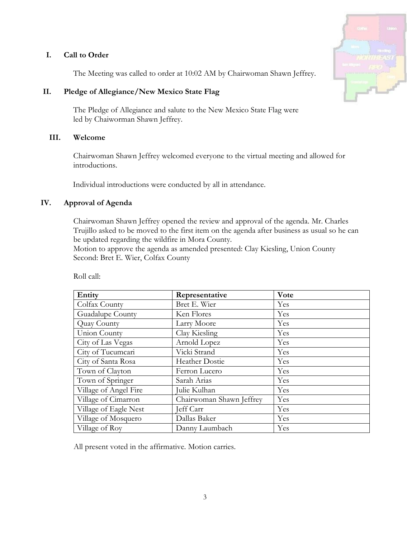## **I. Call to Order**

The Meeting was called to order at 10:02 AM by Chairwoman Shawn Jeffrey.

## **II. Pledge of Allegiance/New Mexico State Flag**

The Pledge of Allegiance and salute to the New Mexico State Flag were led by Chaiworman Shawn Jeffrey.

## **III. Welcome**

Chairwoman Shawn Jeffrey welcomed everyone to the virtual meeting and allowed for introductions.

Individual introductions were conducted by all in attendance.

## **IV. Approval of Agenda**

Chairwoman Shawn Jeffrey opened the review and approval of the agenda. Mr. Charles Trujillo asked to be moved to the first item on the agenda after business as usual so he can be updated regarding the wildfire in Mora County.

Motion to approve the agenda as amended presented: Clay Kiesling, Union County Second: Bret E. Wier, Colfax County

| Entity                | Representative           | Vote |
|-----------------------|--------------------------|------|
| Colfax County         | Bret E. Wier             | Yes  |
| Guadalupe County      | Ken Flores               | Yes  |
| Quay County           | Larry Moore              | Yes  |
| <b>Union County</b>   | Clay Kiesling            | Yes  |
| City of Las Vegas     | Arnold Lopez             | Yes  |
| City of Tucumcari     | Vicki Strand             | Yes  |
| City of Santa Rosa    | Heather Dostie           | Yes  |
| Town of Clayton       | Ferron Lucero            | Yes  |
| Town of Springer      | Sarah Arias              | Yes  |
| Village of Angel Fire | ulie Kulhan              | Yes  |
| Village of Cimarron   | Chairwoman Shawn Jeffrey | Yes  |
| Village of Eagle Nest | Jeff Carr                | Yes  |
| Village of Mosquero   | Dallas Baker             | Yes  |
| Village of Roy        | Danny Laumbach           | Yes  |

Roll call:

All present voted in the affirmative. Motion carries.

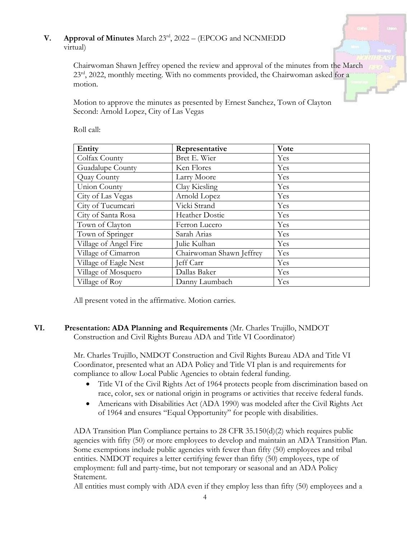## **V. Approval of Minutes** March 23rd , 2022 – (EPCOG and NCNMEDD virtual)

Chairwoman Shawn Jeffrey opened the review and approval of the minutes from the March 23<sup>rd</sup>, 2022, monthly meeting. With no comments provided, the Chairwoman asked for a motion.

Motion to approve the minutes as presented by Ernest Sanchez, Town of Clayton Second: Arnold Lopez, City of Las Vegas

| Entity                | Representative           | Vote |
|-----------------------|--------------------------|------|
| Colfax County         | Bret E. Wier             | Yes  |
| Guadalupe County      | Ken Flores               | Yes  |
| Quay County           | Larry Moore              | Yes  |
| <b>Union County</b>   | Clay Kiesling            | Yes  |
| City of Las Vegas     | Arnold Lopez             | Yes  |
| City of Tucumcari     | Vicki Strand             | Yes  |
| City of Santa Rosa    | <b>Heather Dostie</b>    | Yes  |
| Town of Clayton       | Ferron Lucero            | Yes  |
| Town of Springer      | Sarah Arias              | Yes  |
| Village of Angel Fire | Julie Kulhan             | Yes  |
| Village of Cimarron   | Chairwoman Shawn Jeffrey | Yes  |
| Village of Eagle Nest | Jeff Carr                | Yes  |
| Village of Mosquero   | Dallas Baker             | Yes  |
| Village of Roy        | Danny Laumbach           | Yes  |

Roll call:

All present voted in the affirmative. Motion carries.

## **VI. Presentation: ADA Planning and Requirements** (Mr. Charles Trujillo, NMDOT Construction and Civil Rights Bureau ADA and Title VI Coordinator)

Mr. Charles Trujillo, NMDOT Construction and Civil Rights Bureau ADA and Title VI Coordinator, presented what an ADA Policy and Title VI plan is and requirements for compliance to allow Local Public Agencies to obtain federal funding.

- Title VI of the Civil Rights Act of 1964 protects people from discrimination based on race, color, sex or national origin in programs or activities that receive federal funds.
- Americans with Disabilities Act (ADA 1990) was modeled after the Civil Rights Act of 1964 and ensures "Equal Opportunity" for people with disabilities.

ADA Transition Plan Compliance pertains to 28 CFR 35.150(d)(2) which requires public agencies with fifty (50) or more employees to develop and maintain an ADA Transition Plan. Some exemptions include public agencies with fewer than fifty (50) employees and tribal entities. NMDOT requires a letter certifying fewer than fifty (50) employees, type of employment: full and party-time, but not temporary or seasonal and an ADA Policy Statement.

All entities must comply with ADA even if they employ less than fifty (50) employees and a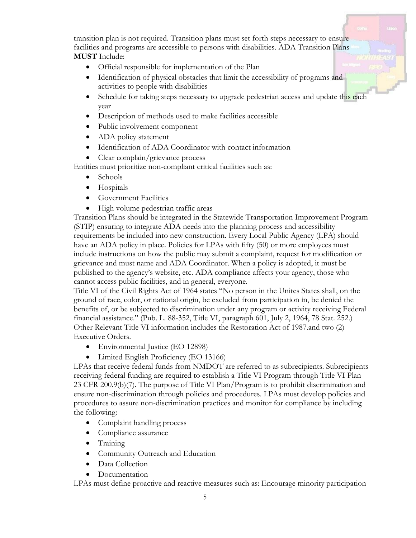transition plan is not required. Transition plans must set forth steps necessary to ensure facilities and programs are accessible to persons with disabilities. ADA Transition Plans **MUST** Include:

- Official responsible for implementation of the Plan
- Identification of physical obstacles that limit the accessibility of programs and activities to people with disabilities
- Schedule for taking steps necessary to upgrade pedestrian access and update this each year
- Description of methods used to make facilities accessible
- Public involvement component
- ADA policy statement
- Identification of ADA Coordinator with contact information
- Clear complain/grievance process

Entities must prioritize non-compliant critical facilities such as:

- $\bullet$  Schools
- Hospitals
- **•** Government Facilities
- High volume pedestrian traffic areas

Transition Plans should be integrated in the Statewide Transportation Improvement Program (STIP) ensuring to integrate ADA needs into the planning process and accessibility requirements be included into new construction. Every Local Public Agency (LPA) should have an ADA policy in place. Policies for LPAs with fifty (50) or more employees must include instructions on how the public may submit a complaint, request for modification or grievance and must name and ADA Coordinator. When a policy is adopted, it must be published to the agency's website, etc. ADA compliance affects your agency, those who cannot access public facilities, and in general, everyone.

Title VI of the Civil Rights Act of 1964 states "No person in the Unites States shall, on the ground of race, color, or national origin, be excluded from participation in, be denied the benefits of, or be subjected to discrimination under any program or activity receiving Federal financial assistance." (Pub. L. 88-352, Title VI, paragraph 601, July 2, 1964, 78 Stat. 252.) Other Relevant Title VI information includes the Restoration Act of 1987.and two (2) Executive Orders.

- Environmental Justice (EO 12898)
- Limited English Proficiency (EO 13166)

LPAs that receive federal funds from NMDOT are referred to as subrecipients. Subrecipients receiving federal funding are required to establish a Title VI Program through Title VI Plan 23 CFR 200.9(b)(7). The purpose of Title VI Plan/Program is to prohibit discrimination and ensure non-discrimination through policies and procedures. LPAs must develop policies and procedures to assure non-discrimination practices and monitor for compliance by including the following:

- Complaint handling process
- Compliance assurance
- Training
- Community Outreach and Education
- Data Collection
- Documentation

LPAs must define proactive and reactive measures such as: Encourage minority participation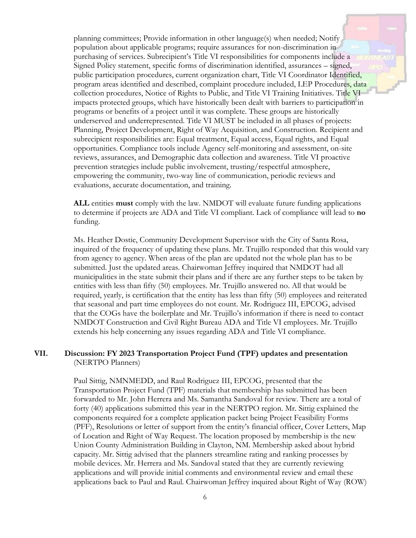planning committees; Provide information in other language(s) when needed; Notify population about applicable programs; require assurances for non-discrimination in purchasing of services. Subrecipient's Title VI responsibilities for components include a Signed Policy statement, specific forms of discrimination identified, assurances – signed, public participation procedures, current organization chart, Title VI Coordinator Identified, program areas identified and described, complaint procedure included, LEP Procedures, data collection procedures, Notice of Rights to Public, and Title VI Training Initiatives. Title VI impacts protected groups, which have historically been dealt with barriers to participation in programs or benefits of a project until it was complete. These groups are historically underserved and underrepresented. Title VI MUST be included in all phases of projects: Planning, Project Development, Right of Way Acquisition, and Construction. Recipient and subrecipient responsibilities are: Equal treatment, Equal access, Equal rights, and Equal opportunities. Compliance tools include Agency self-monitoring and assessment, on-site reviews, assurances, and Demographic data collection and awareness. Title VI proactive prevention strategies include public involvement, trusting/respectful atmosphere, empowering the community, two-way line of communication, periodic reviews and evaluations, accurate documentation, and training.

**ALL** entities **must** comply with the law. NMDOT will evaluate future funding applications to determine if projects are ADA and Title VI compliant. Lack of compliance will lead to **no** funding.

Ms. Heather Dostie, Community Development Supervisor with the City of Santa Rosa, inquired of the frequency of updating these plans. Mr. Trujillo responded that this would vary from agency to agency. When areas of the plan are updated not the whole plan has to be submitted. Just the updated areas. Chairwoman Jeffrey inquired that NMDOT had all municipalities in the state submit their plans and if there are any further steps to be taken by entities with less than fifty (50) employees. Mr. Trujillo answered no. All that would be required, yearly, is certification that the entity has less than fifty (50) employees and reiterated that seasonal and part time employees do not count. Mr. Rodriguez III, EPCOG, advised that the COGs have the boilerplate and Mr. Trujillo's information if there is need to contact NMDOT Construction and Civil Right Bureau ADA and Title VI employees. Mr. Trujillo extends his help concerning any issues regarding ADA and Title VI compliance.

#### **VII. Discussion: FY 2023 Transportation Project Fund (TPF) updates and presentation**  (NERTPO Planners)

Paul Sittig, NMNMEDD, and Raul Rodriguez III, EPCOG, presented that the Transportation Project Fund (TPF) materials that membership has submitted has been forwarded to Mr. John Herrera and Ms. Samantha Sandoval for review. There are a total of forty (40) applications submitted this year in the NERTPO region. Mr. Sittig explained the components required for a complete application packet being Project Feasibility Forms (PFF), Resolutions or letter of support from the entity's financial officer, Cover Letters, Map of Location and Right of Way Request. The location proposed by membership is the new Union County Administration Building in Clayton, NM. Membership asked about hybrid capacity. Mr. Sittig advised that the planners streamline rating and ranking processes by mobile devices. Mr. Herrera and Ms. Sandoval stated that they are currently reviewing applications and will provide initial comments and environmental review and email these applications back to Paul and Raul. Chairwoman Jeffrey inquired about Right of Way (ROW)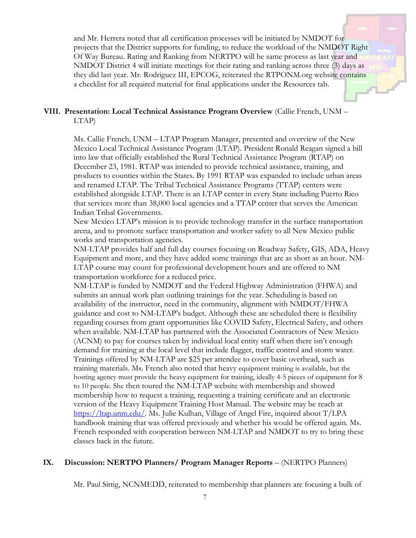and Mr. Herrera noted that all certification processes will be initiated by NMDOT for projects that the District supports for funding, to reduce the workload of the NMDOT Right Of Way Bureau. Rating and Ranking from NERTPO will be same process as last year and NMDOT District 4 will initiate meetings for their rating and ranking across three (3) days as they did last year. Mr. Rodriguez III, EPCOG, reiterated the RTPONM.org website contains a checklist for all required material for final applications under the Resources tab.

### **VIII. Presentation: Local Technical Assistance Program Overview** (Callie French, UNM – LTAP)

Ms. Callie French, UNM – LTAP Program Manager, presented and overview of the New Mexico Local Technical Assistance Program (LTAP). President Ronald Reagan signed a bill into law that officially established the Rural Technical Assistance Program (RTAP) on December 23, 1981. RTAP was intended to provide technical assistance, training, and products to counties within the States. By 1991 RTAP was expanded to include urban areas and renamed LTAP. The Tribal Technical Assistance Programs (TTAP) centers were established alongside LTAP. There is an LTAP center in every State including Puerto Rico that services more than 38,000 local agencies and a TTAP center that serves the American Indian Tribal Governments.

New Mexico LTAP's mission is to provide technology transfer in the surface transportation arena, and to promote surface transportation and worker safety to all New Mexico public works and transportation agencies.

NM-LTAP provides half and full day courses focusing on Roadway Safety, GIS, ADA, Heavy Equipment and more, and they have added some trainings that are as short as an hour. NM-LTAP course may count for professional development hours and are offered to NM transportation workforce for a reduced price.

NM-LTAP is funded by NMDOT and the Federal Highway Administration (FHWA) and submits an annual work plan outlining trainings for the year. Scheduling is based on availability of the instructor, need in the community, alignment with NMDOT/FHWA guidance and cost to NM-LTAP's budget. Although these are scheduled there is flexibility regarding courses from grant opportunities like COVID Safety, Electrical Safety, and others when available. NM-LTAP has partnered with the Associated Contractors of New Mexico (ACNM) to pay for courses taken by individual local entity staff when there isn't enough demand for training at the local level that include flagger, traffic control and storm water. Trainings offered by NM-LTAP are \$25 per attendee to cover basic overhead, such as training materials. Ms. French also noted that heavy equipment training is available, but the hosting agency must provide the heavy equipment for training, ideally 4-5 pieces of equipment for 8 to 10 people. She then toured the NM-LTAP website with membership and showed membership how to request a training, requesting a training certificate and an electronic version of the Heavy Equipment Training Host Manual. The website may be reach at https://ltap.unm.edu/. Ms. Julie Kulhan, Village of Angel Fire, inquired about T/LPA handbook training that was offered previously and whether his would be offered again. Ms. French responded with cooperation between NM-LTAP and NMDOT to try to bring these classes back in the future.

#### **IX. Discussion: NERTPO Planners/ Program Manager Reports** – (NERTPO Planners)

Mr. Paul Sittig, NCNMEDD, reiterated to membership that planners are focusing a bulk of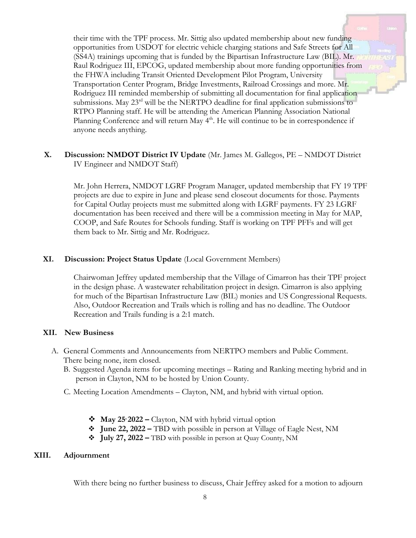their time with the TPF process. Mr. Sittig also updated membership about new funding opportunities from USDOT for electric vehicle charging stations and Safe Streets for All (SS4A) trainings upcoming that is funded by the Bipartisan Infrastructure Law (BIL). Mr. Raul Rodriguez III, EPCOG, updated membership about more funding opportunities from the FHWA including Transit Oriented Development Pilot Program, University Transportation Center Program, Bridge Investments, Railroad Crossings and more. Mr. Rodriguez III reminded membership of submitting all documentation for final application submissions. May  $23<sup>rd</sup>$  will be the NERTPO deadline for final application submissions to RTPO Planning staff. He will be attending the American Planning Association National Planning Conference and will return May  $4<sup>th</sup>$ . He will continue to be in correspondence if anyone needs anything.

**X. Discussion: NMDOT District IV Update** (Mr. James M. Gallegos, PE – NMDOT District IV Engineer and NMDOT Staff)

Mr. John Herrera, NMDOT LGRF Program Manager, updated membership that FY 19 TPF projects are due to expire in June and please send closeout documents for those. Payments for Capital Outlay projects must me submitted along with LGRF payments. FY 23 LGRF documentation has been received and there will be a commission meeting in May for MAP, COOP, and Safe Routes for Schools funding. Staff is working on TPF PFFs and will get them back to Mr. Sittig and Mr. Rodriguez.

#### **XI. Discussion: Project Status Update** (Local Government Members)

Chairwoman Jeffrey updated membership that the Village of Cimarron has their TPF project in the design phase. A wastewater rehabilitation project in design. Cimarron is also applying for much of the Bipartisan Infrastructure Law (BIL) monies and US Congressional Requests. Also, Outdoor Recreation and Trails which is rolling and has no deadline. The Outdoor Recreation and Trails funding is a 2:1 match.

#### **XII. New Business**

- A. General Comments and Announcements from NERTPO members and Public Comment. There being none, item closed.
	- B. Suggested Agenda items for upcoming meetings Rating and Ranking meeting hybrid and in person in Clayton, NM to be hosted by Union County.
	- C. Meeting Location Amendments Clayton, NM, and hybrid with virtual option.
		- **May 25, 2022 –** Clayton, NM with hybrid virtual option
		- **June 22, 2022 –** TBD with possible in person at Village of Eagle Nest, NM
		- **July 27, 2022 –** TBD with possible in person at Quay County, NM

#### **XIII. Adjournment**

With there being no further business to discuss, Chair Jeffrey asked for a motion to adjourn